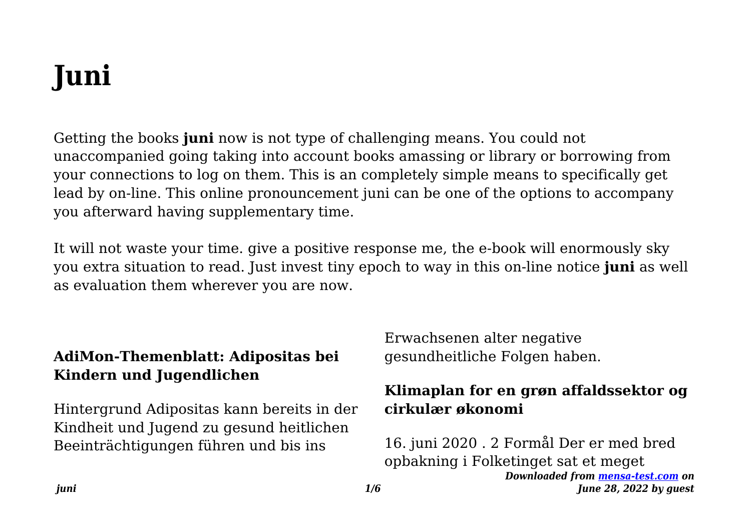# **Juni**

Getting the books **juni** now is not type of challenging means. You could not unaccompanied going taking into account books amassing or library or borrowing from your connections to log on them. This is an completely simple means to specifically get lead by on-line. This online pronouncement juni can be one of the options to accompany you afterward having supplementary time.

It will not waste your time. give a positive response me, the e-book will enormously sky you extra situation to read. Just invest tiny epoch to way in this on-line notice **juni** as well as evaluation them wherever you are now.

## **AdiMon-Themenblatt: Adipositas bei Kindern und Jugendlichen**

Hintergrund Adipositas kann bereits in der Kindheit und Jugend zu gesund heitlichen Beeinträchtigungen führen und bis ins

Erwachsenen alter negative gesundheitliche Folgen haben.

# **Klimaplan for en grøn affaldssektor og cirkulær økonomi**

*Downloaded from [mensa-test.com](https://mensa-test.com) on June 28, 2022 by guest* 16. juni 2020 . 2 Formål Der er med bred opbakning i Folketinget sat et meget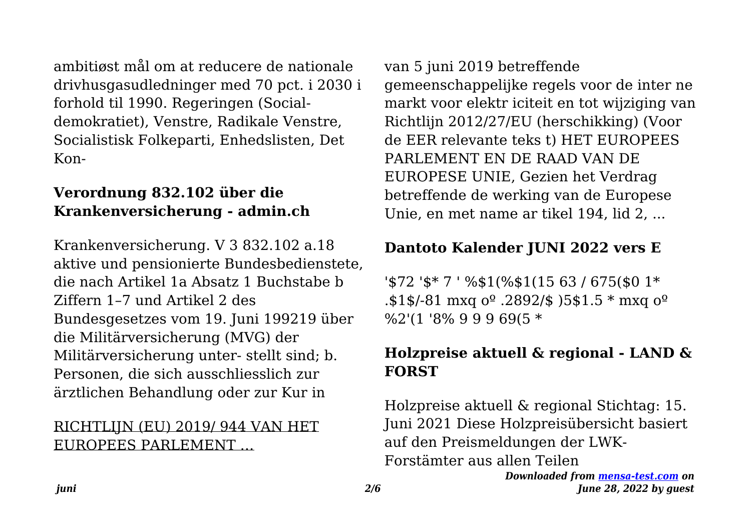ambitiøst mål om at reducere de nationale drivhusgasudledninger med 70 pct. i 2030 i forhold til 1990. Regeringen (Socialdemokratiet), Venstre, Radikale Venstre, Socialistisk Folkeparti, Enhedslisten, Det Kon-

#### **Verordnung 832.102 über die Krankenversicherung - admin.ch**

Krankenversicherung. V 3 832.102 a.18 aktive und pensionierte Bundesbedienstete, die nach Artikel 1a Absatz 1 Buchstabe b Ziffern 1–7 und Artikel 2 des Bundesgesetzes vom 19. Juni 199219 über die Militärversicherung (MVG) der Militärversicherung unter- stellt sind; b. Personen, die sich ausschliesslich zur ärztlichen Behandlung oder zur Kur in

## RICHTLIJN (EU) 2019/ 944 VAN HET EUROPEES PARLEMENT …

van 5 juni 2019 betreffende gemeenschappelijke regels voor de inter ne markt voor elektr iciteit en tot wijziging van Richtlijn 2012/27/EU (herschikking) (Voor de EER relevante teks t) HET EUROPEES PARLEMENT EN DE RAAD VAN DE EUROPESE UNIE, Gezien het Verdrag betreffende de werking van de Europese Unie, en met name ar tikel 194, lid 2, ...

# **Dantoto Kalender JUNI 2022 vers E**

'\$72 '\$\* 7 ' %\$1(%\$1(15 63 / 675(\$0 1\* .\$1\$/-81 mxq  $0^{\circ}$ .2892/\$ )5\$1.5  $*$  mxq  $0^{\circ}$ %2'(1 '8% 9 9 9 69(5 \*

# **Holzpreise aktuell & regional - LAND & FORST**

Holzpreise aktuell & regional Stichtag: 15. Juni 2021 Diese Holzpreisübersicht basiert auf den Preismeldungen der LWK-Forstämter aus allen Teilen

> *Downloaded from [mensa-test.com](https://mensa-test.com) on June 28, 2022 by guest*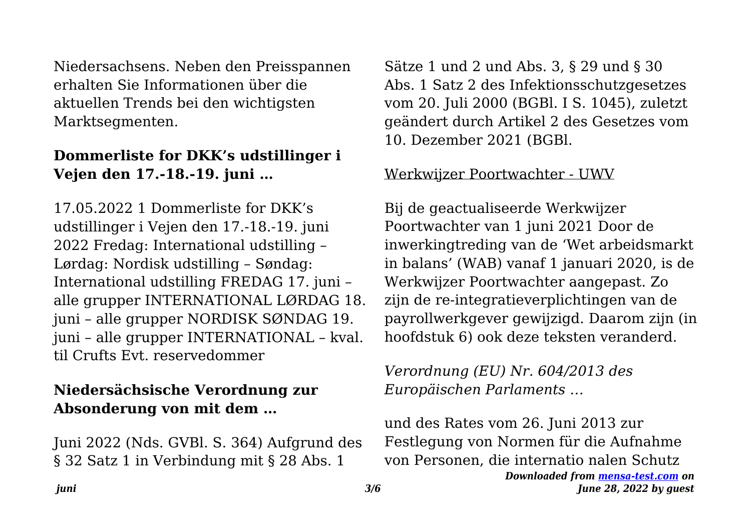Niedersachsens. Neben den Preisspannen erhalten Sie Informationen über die aktuellen Trends bei den wichtigsten Marktsegmenten.

#### **Dommerliste for DKK's udstillinger i Vejen den 17.-18.-19. juni …**

17.05.2022 1 Dommerliste for DKK's udstillinger i Vejen den 17.-18.-19. juni 2022 Fredag: International udstilling – Lørdag: Nordisk udstilling – Søndag: International udstilling FREDAG 17. juni – alle grupper INTERNATIONAL LØRDAG 18. juni – alle grupper NORDISK SØNDAG 19. juni – alle grupper INTERNATIONAL – kval. til Crufts Evt. reservedommer

#### **Niedersächsische Verordnung zur Absonderung von mit dem …**

Juni 2022 (Nds. GVBl. S. 364) Aufgrund des § 32 Satz 1 in Verbindung mit § 28 Abs. 1

Sätze 1 und 2 und Abs. 3, § 29 und § 30 Abs. 1 Satz 2 des Infektionsschutzgesetzes vom 20. Juli 2000 (BGBl. I S. 1045), zuletzt geändert durch Artikel 2 des Gesetzes vom 10. Dezember 2021 (BGBl.

#### Werkwijzer Poortwachter - UWV

Bij de geactualiseerde Werkwijzer Poortwachter van 1 juni 2021 Door de inwerkingtreding van de 'Wet arbeidsmarkt in balans' (WAB) vanaf 1 januari 2020, is de Werkwijzer Poortwachter aangepast. Zo zijn de re-integratieverplichtingen van de payrollwerkgever gewijzigd. Daarom zijn (in hoofdstuk 6) ook deze teksten veranderd.

#### *Verordnung (EU) Nr. 604/2013 des Europäischen Parlaments …*

und des Rates vom 26. Juni 2013 zur Festlegung von Normen für die Aufnahme von Personen, die internatio nalen Schutz

```
Downloaded from mensa-test.com on
 June 28, 2022 by guest
```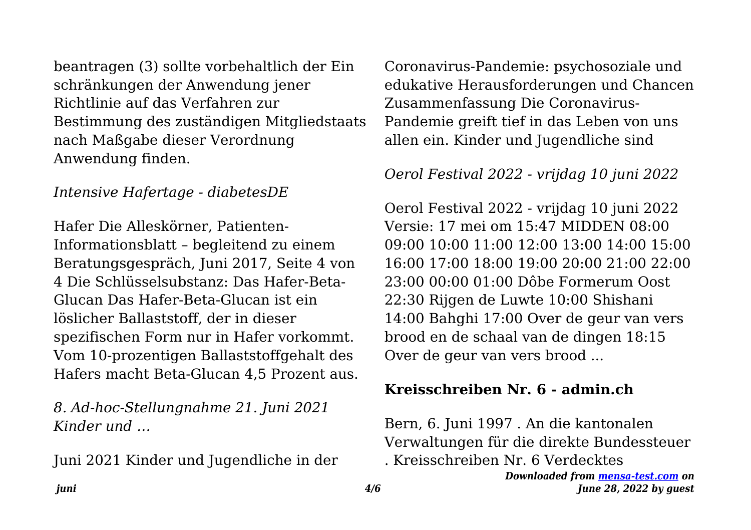beantragen (3) sollte vorbehaltlich der Ein schränkungen der Anwendung jener Richtlinie auf das Verfahren zur Bestimmung des zuständigen Mitgliedstaats nach Maßgabe dieser Verordnung Anwendung finden.

#### *Intensive Hafertage - diabetesDE*

Hafer Die Alleskörner, Patienten-Informationsblatt – begleitend zu einem Beratungsgespräch, Juni 2017, Seite 4 von 4 Die Schlüsselsubstanz: Das Hafer-Beta-Glucan Das Hafer-Beta-Glucan ist ein löslicher Ballaststoff, der in dieser spezifischen Form nur in Hafer vorkommt. Vom 10-prozentigen Ballaststoffgehalt des Hafers macht Beta-Glucan 4,5 Prozent aus.

*8. Ad-hoc-Stellungnahme 21. Juni 2021 Kinder und …*

Juni 2021 Kinder und Jugendliche in der

Coronavirus-Pandemie: psychosoziale und edukative Herausforderungen und Chancen Zusammenfassung Die Coronavirus-Pandemie greift tief in das Leben von uns allen ein. Kinder und Jugendliche sind

*Oerol Festival 2022 - vrijdag 10 juni 2022*

Oerol Festival 2022 - vrijdag 10 juni 2022 Versie: 17 mei om 15:47 MIDDEN 08:00 09:00 10:00 11:00 12:00 13:00 14:00 15:00 16:00 17:00 18:00 19:00 20:00 21:00 22:00 23:00 00:00 01:00 Dôbe Formerum Oost 22:30 Rijgen de Luwte 10:00 Shishani 14:00 Bahghi 17:00 Over de geur van vers brood en de schaal van de dingen 18:15 Over de geur van vers brood ...

#### **Kreisschreiben Nr. 6 - admin.ch**

Bern, 6. Juni 1997 . An die kantonalen Verwaltungen für die direkte Bundessteuer . Kreisschreiben Nr. 6 Verdecktes

> *Downloaded from [mensa-test.com](https://mensa-test.com) on June 28, 2022 by guest*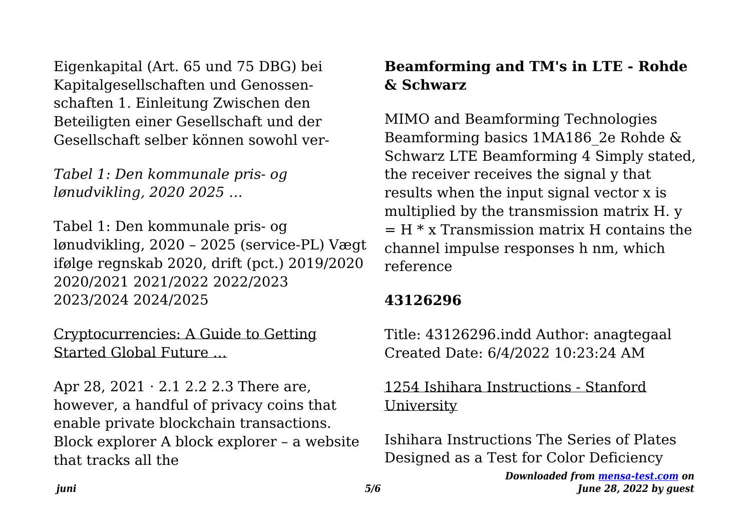Eigenkapital (Art. 65 und 75 DBG) bei Kapitalgesellschaften und Genossenschaften 1. Einleitung Zwischen den Beteiligten einer Gesellschaft und der Gesellschaft selber können sowohl ver-

*Tabel 1: Den kommunale pris- og lønudvikling, 2020 2025 …*

Tabel 1: Den kommunale pris- og lønudvikling, 2020 – 2025 (service-PL) Vægt ifølge regnskab 2020, drift (pct.) 2019/2020 2020/2021 2021/2022 2022/2023 2023/2024 2024/2025

Cryptocurrencies: A Guide to Getting Started Global Future …

Apr 28,  $2021 \cdot 2.1$  2.2 2.3 There are, however, a handful of privacy coins that enable private blockchain transactions. Block explorer A block explorer – a website that tracks all the

## **Beamforming and TM's in LTE - Rohde & Schwarz**

MIMO and Beamforming Technologies Beamforming basics 1MA186\_2e Rohde & Schwarz LTE Beamforming 4 Simply stated, the receiver receives the signal y that results when the input signal vector x is multiplied by the transmission matrix H. y  $=$  H  $*$  x Transmission matrix H contains the channel impulse responses h nm, which reference

#### **43126296**

Title: 43126296.indd Author: anagtegaal Created Date: 6/4/2022 10:23:24 AM

#### 1254 Ishihara Instructions - Stanford University

Ishihara Instructions The Series of Plates Designed as a Test for Color Deficiency